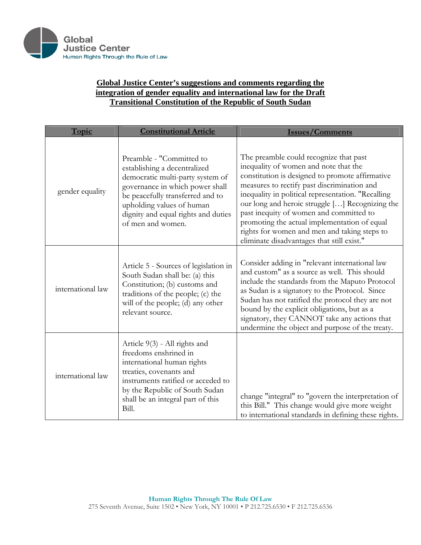

## **Global Justice Center's suggestions and comments regarding the integration of gender equality and international law for the Draft Transitional Constitution of the Republic of South Sudan**

| Topic             | <b>Constitutional Article</b>                                                                                                                                                                                                                                | <b>Issues/Comments</b>                                                                                                                                                                                                                                                                                                                                                                                                                                                              |
|-------------------|--------------------------------------------------------------------------------------------------------------------------------------------------------------------------------------------------------------------------------------------------------------|-------------------------------------------------------------------------------------------------------------------------------------------------------------------------------------------------------------------------------------------------------------------------------------------------------------------------------------------------------------------------------------------------------------------------------------------------------------------------------------|
| gender equality   | Preamble - "Committed to<br>establishing a decentralized<br>democratic multi-party system of<br>governance in which power shall<br>be peacefully transferred and to<br>upholding values of human<br>dignity and equal rights and duties<br>of men and women. | The preamble could recognize that past<br>inequality of women and note that the<br>constitution is designed to promote affirmative<br>measures to rectify past discrimination and<br>inequality in political representation. "Recalling<br>our long and heroic struggle [] Recognizing the<br>past inequity of women and committed to<br>promoting the actual implementation of equal<br>rights for women and men and taking steps to<br>eliminate disadvantages that still exist." |
| international law | Article 5 - Sources of legislation in<br>South Sudan shall be: (a) this<br>Constitution; (b) customs and<br>traditions of the people; (c) the<br>will of the people; (d) any other<br>relevant source.                                                       | Consider adding in "relevant international law<br>and custom" as a source as well. This should<br>include the standards from the Maputo Protocol<br>as Sudan is a signatory to the Protocol. Since<br>Sudan has not ratified the protocol they are not<br>bound by the explicit obligations, but as a<br>signatory, they CANNOT take any actions that<br>undermine the object and purpose of the treaty.                                                                            |
| international law | Article 9(3) - All rights and<br>freedoms enshrined in<br>international human rights<br>treaties, covenants and<br>instruments ratified or acceded to<br>by the Republic of South Sudan<br>shall be an integral part of this<br>Bill.                        | change "integral" to "govern the interpretation of<br>this Bill." This change would give more weight<br>to international standards in defining these rights.                                                                                                                                                                                                                                                                                                                        |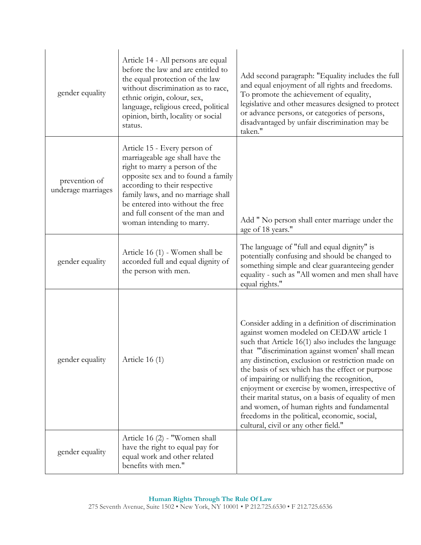| gender equality                     | Article 14 - All persons are equal<br>before the law and are entitled to<br>the equal protection of the law<br>without discrimination as to race,<br>ethnic origin, colour, sex,<br>language, religious creed, political<br>opinion, birth, locality or social<br>status.                                          | Add second paragraph: "Equality includes the full<br>and equal enjoyment of all rights and freedoms.<br>To promote the achievement of equality,<br>legislative and other measures designed to protect<br>or advance persons, or categories of persons,<br>disadvantaged by unfair discrimination may be<br>taken."                                                                                                                                                                                                                                                                                            |
|-------------------------------------|--------------------------------------------------------------------------------------------------------------------------------------------------------------------------------------------------------------------------------------------------------------------------------------------------------------------|---------------------------------------------------------------------------------------------------------------------------------------------------------------------------------------------------------------------------------------------------------------------------------------------------------------------------------------------------------------------------------------------------------------------------------------------------------------------------------------------------------------------------------------------------------------------------------------------------------------|
| prevention of<br>underage marriages | Article 15 - Every person of<br>marriageable age shall have the<br>right to marry a person of the<br>opposite sex and to found a family<br>according to their respective<br>family laws, and no marriage shall<br>be entered into without the free<br>and full consent of the man and<br>woman intending to marry. | Add " No person shall enter marriage under the<br>age of 18 years."                                                                                                                                                                                                                                                                                                                                                                                                                                                                                                                                           |
| gender equality                     | Article 16 (1) - Women shall be<br>accorded full and equal dignity of<br>the person with men.                                                                                                                                                                                                                      | The language of "full and equal dignity" is<br>potentially confusing and should be changed to<br>something simple and clear guaranteeing gender<br>equality - such as "All women and men shall have<br>equal rights."                                                                                                                                                                                                                                                                                                                                                                                         |
| gender equality                     | Article $16(1)$                                                                                                                                                                                                                                                                                                    | Consider adding in a definition of discrimination<br>against women modeled on CEDAW article 1<br>such that Article 16(1) also includes the language<br>that "discrimination against women' shall mean<br>any distinction, exclusion or restriction made on<br>the basis of sex which has the effect or purpose<br>of impairing or nullifying the recognition,<br>enjoyment or exercise by women, irrespective of<br>their marital status, on a basis of equality of men<br>and women, of human rights and fundamental<br>freedoms in the political, economic, social,<br>cultural, civil or any other field." |
| gender equality                     | Article 16 (2) - "Women shall<br>have the right to equal pay for<br>equal work and other related<br>benefits with men."                                                                                                                                                                                            |                                                                                                                                                                                                                                                                                                                                                                                                                                                                                                                                                                                                               |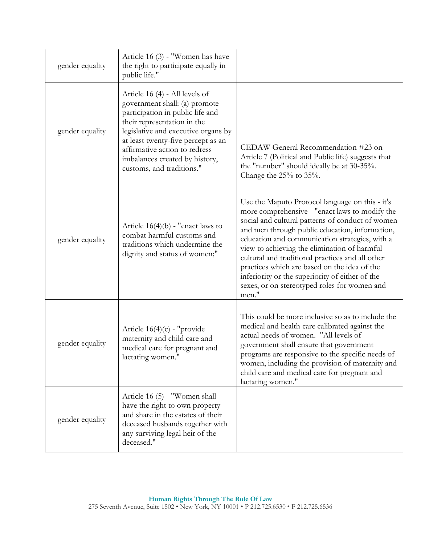| gender equality | Article 16 (3) - "Women has have<br>the right to participate equally in<br>public life."                                                                                                                                                                                                                        |                                                                                                                                                                                                                                                                                                                                                                                                                                                                                                                           |
|-----------------|-----------------------------------------------------------------------------------------------------------------------------------------------------------------------------------------------------------------------------------------------------------------------------------------------------------------|---------------------------------------------------------------------------------------------------------------------------------------------------------------------------------------------------------------------------------------------------------------------------------------------------------------------------------------------------------------------------------------------------------------------------------------------------------------------------------------------------------------------------|
| gender equality | Article 16 (4) - All levels of<br>government shall: (a) promote<br>participation in public life and<br>their representation in the<br>legislative and executive organs by<br>at least twenty-five percept as an<br>affirmative action to redress<br>imbalances created by history,<br>customs, and traditions." | CEDAW General Recommendation #23 on<br>Article 7 (Political and Public life) suggests that<br>the "number" should ideally be at 30-35%.<br>Change the $25%$ to $35%$ .                                                                                                                                                                                                                                                                                                                                                    |
| gender equality | Article $16(4)(b)$ - "enact laws to<br>combat harmful customs and<br>traditions which undermine the<br>dignity and status of women;"                                                                                                                                                                            | Use the Maputo Protocol language on this - it's<br>more comprehensive - "enact laws to modify the<br>social and cultural patterns of conduct of women<br>and men through public education, information,<br>education and communication strategies, with a<br>view to achieving the elimination of harmful<br>cultural and traditional practices and all other<br>practices which are based on the idea of the<br>inferiority or the superiority of either of the<br>sexes, or on stereotyped roles for women and<br>men." |
| gender equality | Article $16(4)(c)$ - "provide"<br>maternity and child care and<br>medical care for pregnant and<br>lactating women."                                                                                                                                                                                            | This could be more inclusive so as to include the<br>medical and health care calibrated against the<br>actual needs of women. "All levels of<br>government shall ensure that government<br>programs are responsive to the specific needs of<br>women, including the provision of maternity and<br>child care and medical care for pregnant and<br>lactating women."                                                                                                                                                       |
| gender equality | Article 16 (5) - "Women shall<br>have the right to own property<br>and share in the estates of their<br>deceased husbands together with<br>any surviving legal heir of the<br>deceased."                                                                                                                        |                                                                                                                                                                                                                                                                                                                                                                                                                                                                                                                           |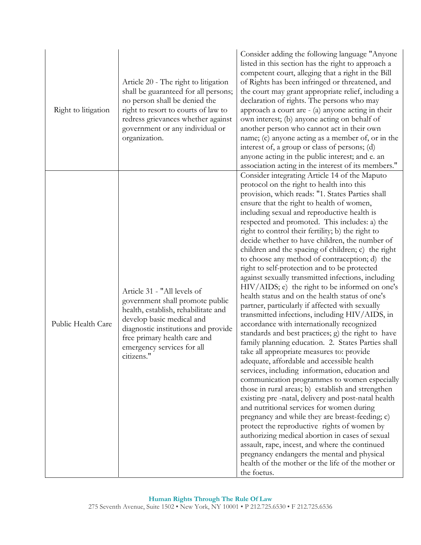| Right to litigation | Article 20 - The right to litigation<br>shall be guaranteed for all persons;<br>no person shall be denied the<br>right to resort to courts of law to<br>redress grievances whether against<br>government or any individual or<br>organization.        | Consider adding the following language "Anyone"<br>listed in this section has the right to approach a<br>competent court, alleging that a right in the Bill<br>of Rights has been infringed or threatened, and<br>the court may grant appropriate relief, including a<br>declaration of rights. The persons who may<br>approach a court are - (a) anyone acting in their<br>own interest; (b) anyone acting on behalf of<br>another person who cannot act in their own<br>name; (c) anyone acting as a member of, or in the<br>interest of, a group or class of persons; (d)<br>anyone acting in the public interest; and e. an<br>association acting in the interest of its members."                                                                                                                                                                                                                                                                                                                                                                                                                                                                                                                                                                                                                                                                                                                                                                                                                                                                                                                                                                             |
|---------------------|-------------------------------------------------------------------------------------------------------------------------------------------------------------------------------------------------------------------------------------------------------|--------------------------------------------------------------------------------------------------------------------------------------------------------------------------------------------------------------------------------------------------------------------------------------------------------------------------------------------------------------------------------------------------------------------------------------------------------------------------------------------------------------------------------------------------------------------------------------------------------------------------------------------------------------------------------------------------------------------------------------------------------------------------------------------------------------------------------------------------------------------------------------------------------------------------------------------------------------------------------------------------------------------------------------------------------------------------------------------------------------------------------------------------------------------------------------------------------------------------------------------------------------------------------------------------------------------------------------------------------------------------------------------------------------------------------------------------------------------------------------------------------------------------------------------------------------------------------------------------------------------------------------------------------------------|
| Public Health Care  | Article 31 - "All levels of<br>government shall promote public<br>health, establish, rehabilitate and<br>develop basic medical and<br>diagnostic institutions and provide<br>free primary health care and<br>emergency services for all<br>citizens." | Consider integrating Article 14 of the Maputo<br>protocol on the right to health into this<br>provision, which reads: "1. States Parties shall<br>ensure that the right to health of women,<br>including sexual and reproductive health is<br>respected and promoted. This includes: a) the<br>right to control their fertility; b) the right to<br>decide whether to have children, the number of<br>children and the spacing of children; c) the right<br>to choose any method of contraception; d) the<br>right to self-protection and to be protected<br>against sexually transmitted infections, including<br>HIV/AIDS; e) the right to be informed on one's<br>health status and on the health status of one's<br>partner, particularly if affected with sexually<br>transmitted infections, including HIV/AIDS, in<br>accordance with internationally recognized<br>standards and best practices; g) the right to have<br>family planning education. 2. States Parties shall<br>take all appropriate measures to: provide<br>adequate, affordable and accessible health<br>services, including information, education and<br>communication programmes to women especially<br>those in rural areas; b) establish and strengthen<br>existing pre-natal, delivery and post-natal health<br>and nutritional services for women during<br>pregnancy and while they are breast-feeding; c)<br>protect the reproductive rights of women by<br>authorizing medical abortion in cases of sexual<br>assault, rape, incest, and where the continued<br>pregnancy endangers the mental and physical<br>health of the mother or the life of the mother or<br>the foetus. |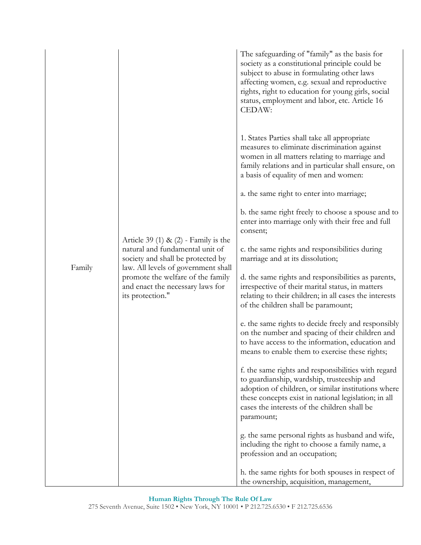|        |                                                                                                                                                                                                                                                    | The safeguarding of "family" as the basis for<br>society as a constitutional principle could be<br>subject to abuse in formulating other laws<br>affecting women, e.g. sexual and reproductive<br>rights, right to education for young girls, social<br>status, employment and labor, etc. Article 16<br>CEDAW: |
|--------|----------------------------------------------------------------------------------------------------------------------------------------------------------------------------------------------------------------------------------------------------|-----------------------------------------------------------------------------------------------------------------------------------------------------------------------------------------------------------------------------------------------------------------------------------------------------------------|
|        |                                                                                                                                                                                                                                                    | 1. States Parties shall take all appropriate<br>measures to eliminate discrimination against<br>women in all matters relating to marriage and<br>family relations and in particular shall ensure, on<br>a basis of equality of men and women:                                                                   |
|        | Article 39 (1) & $(2)$ - Family is the<br>natural and fundamental unit of<br>society and shall be protected by<br>law. All levels of government shall<br>promote the welfare of the family<br>and enact the necessary laws for<br>its protection." | a. the same right to enter into marriage;                                                                                                                                                                                                                                                                       |
|        |                                                                                                                                                                                                                                                    | b. the same right freely to choose a spouse and to<br>enter into marriage only with their free and full<br>consent;                                                                                                                                                                                             |
| Family |                                                                                                                                                                                                                                                    | c. the same rights and responsibilities during<br>marriage and at its dissolution;                                                                                                                                                                                                                              |
|        |                                                                                                                                                                                                                                                    | d. the same rights and responsibilities as parents,<br>irrespective of their marital status, in matters<br>relating to their children; in all cases the interests<br>of the children shall be paramount;                                                                                                        |
|        |                                                                                                                                                                                                                                                    | e. the same rights to decide freely and responsibly<br>on the number and spacing of their children and<br>to have access to the information, education and<br>means to enable them to exercise these rights;                                                                                                    |
|        |                                                                                                                                                                                                                                                    | f. the same rights and responsibilities with regard<br>to guardianship, wardship, trusteeship and<br>adoption of children, or similar institutions where<br>these concepts exist in national legislation; in all<br>cases the interests of the children shall be<br>paramount;                                  |
|        |                                                                                                                                                                                                                                                    | g. the same personal rights as husband and wife,<br>including the right to choose a family name, a<br>profession and an occupation;                                                                                                                                                                             |
|        | h. the same rights for both spouses in respect of<br>the ownership, acquisition, management,                                                                                                                                                       |                                                                                                                                                                                                                                                                                                                 |